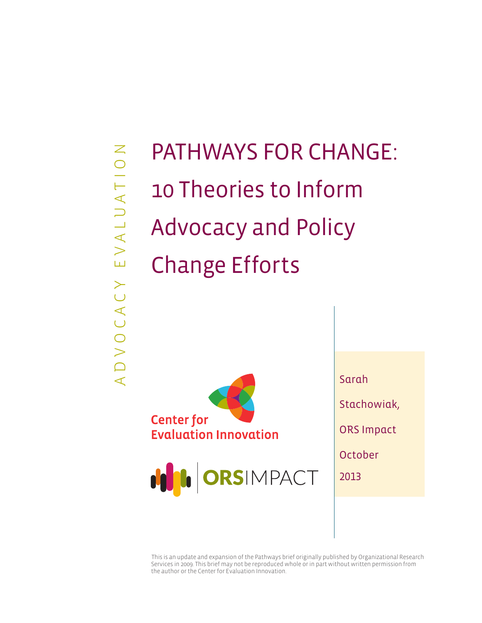A D V O C A C Y E V A L U A T I O N EVALUATION ADVOCACY

# PATHWAYS FOR CHANGE: 10 Theories to Inform Advocacy and Policy Change Efforts





Sarah Stachowiak, ORS Impact October 2013

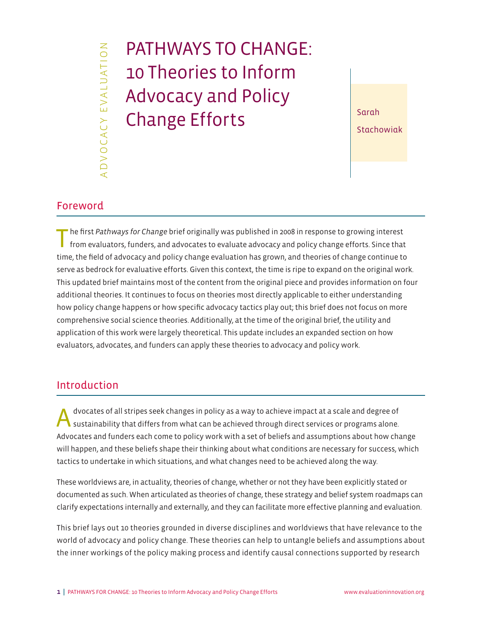# A D V O C A C Y E V A L U A T I O N DVOCACY EVALUATION

# PATHWAYS TO CHANGE: 10 Theories to Inform Advocacy and Policy Change Efforts  $\left| \begin{array}{c} \text{Sarah} \\ \text{Sosh} \end{array} \right|$

Stachowiak

# Foreword

The first *Pathways for Change* brief originally was published in 2008 in response to growing interest from evaluators, funders, and advocates to evaluate advocacy and policy change efforts. Since that time, the field of advocacy and policy change evaluation has grown, and theories of change continue to serve as bedrock for evaluative efforts. Given this context, the time is ripe to expand on the original work. This updated brief maintains most of the content from the original piece and provides information on four additional theories. It continues to focus on theories most directly applicable to either understanding how policy change happens or how specific advocacy tactics play out; this brief does not focus on more comprehensive social science theories. Additionally, at the time of the original brief, the utility and application of this work were largely theoretical. This update includes an expanded section on how evaluators, advocates, and funders can apply these theories to advocacy and policy work.

# Introduction

A dvocates of all stripes seek changes in policy as a way to achieve impact at a scale and degree of sustainability that differs from what can be achieved through direct services or programs alone. Advocates and funders each come to policy work with a set of beliefs and assumptions about how change will happen, and these beliefs shape their thinking about what conditions are necessary for success, which tactics to undertake in which situations, and what changes need to be achieved along the way.

These worldviews are, in actuality, theories of change, whether or not they have been explicitly stated or documented as such. When articulated as theories of change, these strategy and belief system roadmaps can clarify expectations internally and externally, and they can facilitate more effective planning and evaluation.

This brief lays out 10 theories grounded in diverse disciplines and worldviews that have relevance to the world of advocacy and policy change. These theories can help to untangle beliefs and assumptions about the inner workings of the policy making process and identify causal connections supported by research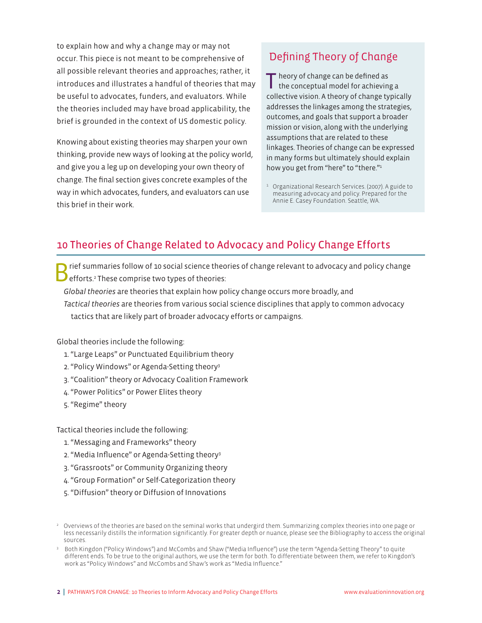to explain how and why a change may or may not occur. This piece is not meant to be comprehensive of all possible relevant theories and approaches; rather, it introduces and illustrates a handful of theories that may be useful to advocates, funders, and evaluators. While the theories included may have broad applicability, the brief is grounded in the context of US domestic policy.

Knowing about existing theories may sharpen your own thinking, provide new ways of looking at the policy world, and give you a leg up on developing your own theory of change. The final section gives concrete examples of the way in which advocates, funders, and evaluators can use this brief in their work.

# Defining Theory of Change

T heory of change can be defined as the conceptual model for achieving a collective vision. A theory of change typically addresses the linkages among the strategies, outcomes, and goals that support a broader mission or vision, along with the underlying assumptions that are related to these linkages. Theories of change can be expressed in many forms but ultimately should explain how you get from "here" to "there."<sup>1</sup>

<sup>1</sup> Organizational Research Services. (2007). A guide to measuring advocacy and policy. Prepared for the Annie E. Casey Foundation. Seattle, WA.

# 10 Theories of Change Related to Advocacy and Policy Change Efforts

- rief summaries follow of 10 social science theories of change relevant to advocacy and policy change efforts.<sup>2</sup> These comprise two types of theories:
- *Global theories* are theories that explain how policy change occurs more broadly, and
- *Tactical theories* are theories from various social science disciplines that apply to common advocacy tactics that are likely part of broader advocacy efforts or campaigns.

Global theories include the following:

- 1. "Large Leaps" or Punctuated Equilibrium theory
- 2. "Policy Windows" or Agenda-Setting theory3
- 3. "Coalition" theory or Advocacy Coalition Framework
- 4. "Power Politics" or Power Elites theory
- 5. "Regime" theory

Tactical theories include the following:

- 1. "Messaging and Frameworks" theory
- 2. "Media Influence" or Agenda-Setting theory3
- 3. "Grassroots" or Community Organizing theory
- 4. "Group Formation" or Self-Categorization theory
- 5. "Diffusion" theory or Diffusion of Innovations

<sup>&</sup>lt;sup>2</sup> Overviews of the theories are based on the seminal works that undergird them. Summarizing complex theories into one page or less necessarily distills the information significantly. For greater depth or nuance, please see the Bibliography to access the original sources.

<sup>3</sup> Both Kingdon ("Policy Windows") and McCombs and Shaw ("Media Influence") use the term "Agenda-Setting Theory" to quite different ends. To be true to the original authors, we use the term for both. To differentiate between them, we refer to Kingdon's work as "Policy Windows" and McCombs and Shaw's work as "Media Influence."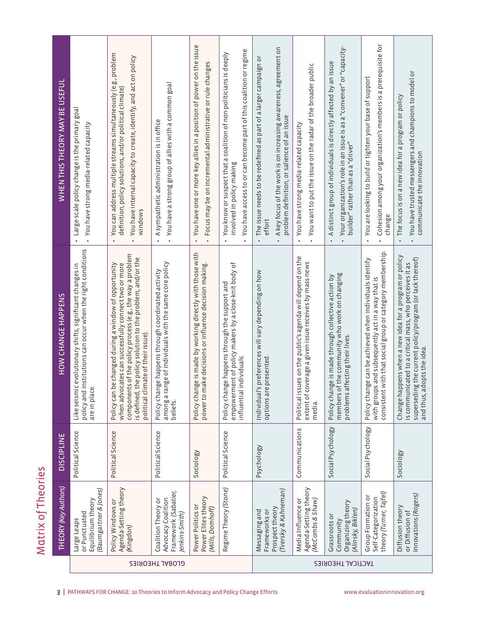| WHEN THIS THEORY MAY BE USEFUL                                                                                       | Large-scale policy change is the primary goal<br>You have strong media-related capacity<br>$\bullet$<br>$\bullet$                               | You can address multiple streams simultaneously (e.g., problem<br>You have internal capacity to create, identify, and act on policy<br>definition, policy solutions, and/or political climate)<br>windows<br>$\bullet$<br>$\bullet$                                                | You have a strong group of allies with a common goal<br>A sympathetic administration is in office<br>$\bullet$           | You have one or more key allies in a position of power on the issue<br>Focus may be on incremental administrative or rule changes<br>$\bullet$<br>$\bullet$ | You have access to or can become part of this coalition or regime<br>You know or suspect that a coalition of non-politicians is deeply<br>involved in policy making<br>$\bullet$ | A key focus of the work is on increasing awareness, agreement on<br>The issue needs to be redefined as part of a larger campaign or<br>problem definition, or salience of an issue<br>effort | You want to put the issue on the radar of the broader public<br>You have strong media-related capacity<br>$\bullet$                   | Your organization's role in an issue is as a "convener" or "capacity<br>A distinct group of individuals is directly affected by an issue<br>builder" rather than as a "driver"<br>$\bullet$ | Cohesion among your organization's members is a prerequisite for<br>You are looking to build or tighten your base of support<br>change<br>$\bullet$                      | You have trusted messengers and champions to model or<br>The focus is on a new idea for a program or policy<br>communicate the innovation<br>$\bullet$                                                      |  |
|----------------------------------------------------------------------------------------------------------------------|-------------------------------------------------------------------------------------------------------------------------------------------------|------------------------------------------------------------------------------------------------------------------------------------------------------------------------------------------------------------------------------------------------------------------------------------|--------------------------------------------------------------------------------------------------------------------------|-------------------------------------------------------------------------------------------------------------------------------------------------------------|----------------------------------------------------------------------------------------------------------------------------------------------------------------------------------|----------------------------------------------------------------------------------------------------------------------------------------------------------------------------------------------|---------------------------------------------------------------------------------------------------------------------------------------|---------------------------------------------------------------------------------------------------------------------------------------------------------------------------------------------|--------------------------------------------------------------------------------------------------------------------------------------------------------------------------|-------------------------------------------------------------------------------------------------------------------------------------------------------------------------------------------------------------|--|
| HOW CHANGE HAPPENS                                                                                                   | institutions can occur when the right conditions<br>Like seismic evolutionary shifts, significant changes in<br>نه<br>policy and<br>are in plac | components of the policy process (e.g., the way a problem<br>the policy solution to the problem, and/or the<br>when advocates can successfully connect two or more<br>be changed during a window of opportunity<br>political climate of their issue).<br>Policy can<br>is defined, | among a range of individuals with the same core policy<br>Policy change happens through coordinated activity<br>beliefs. | Policy change is made by working directly with those with<br>power to make decisions or influence decision making.                                          | empowerment of policy makers by a close-knit body of<br>Policy change happens through the support and<br>lindividuals.<br>nfluential                                             | 's preferences will vary depending on how<br>options are presented<br>Individual                                                                                                             | sues on the public's agenda will depend on the<br>coverage a given issue receives by mass news<br>Political is<br>extent of<br>media. | of the community who work on changing<br>Policy change is made through collective action by<br>affecting their lives.<br>members<br>problems                                                | consistent with that social group or category membership<br>Policy change can be achieved when individuals identify<br>with groups and subsequently act in a way that is | Change happens when a new idea for a program or policy<br>superseding the current policy/program (or lack thereof)<br>is communicated to a critical mass, who perceives it as<br>and thus, adopts the idea. |  |
| <b>DISCIPLINE</b>                                                                                                    | Political Science                                                                                                                               | Political Science                                                                                                                                                                                                                                                                  | Political Science                                                                                                        | Sociology                                                                                                                                                   | Political Science                                                                                                                                                                | Psychology                                                                                                                                                                                   | Communications                                                                                                                        | Social Psychology                                                                                                                                                                           | Social Psychology                                                                                                                                                        | Sociology                                                                                                                                                                                                   |  |
| <b>THEORY (Key Authors)</b>                                                                                          | (Baumgartner & Jones)<br>Equilibrium theory<br>or Punctuated<br>Large Leaps                                                                     | Agenda-Setting theory<br>Policy Windows or<br>(Kingdon)                                                                                                                                                                                                                            | Framework (Sabatier,<br>Advocacy Coalition<br>Coalition Theory or<br>lenkins-Smith)                                      | Power Elites theory<br>Power Politics or<br>(Mills, Domhoff)                                                                                                | Regime Theory (Stone)                                                                                                                                                            | (Tversky & Kahneman)<br>Prospect theory<br>Frameworks or<br>Messaging and                                                                                                                    | Agenda-Setting theory<br>Media Influence or<br>(McCombs & Shaw)                                                                       | Organizing theory<br>(Alinsky, Biklen)<br>Grassroots or<br>Community                                                                                                                        | theory (Turner, Tajfel)<br>Group Formation or<br>Self-Categorization                                                                                                     | Innovations (Rogers)<br>Diffusion theory<br>or Diffusion of                                                                                                                                                 |  |
|                                                                                                                      | GLOBAL THEORIES                                                                                                                                 |                                                                                                                                                                                                                                                                                    |                                                                                                                          |                                                                                                                                                             |                                                                                                                                                                                  |                                                                                                                                                                                              | <b>TACTICAL THEORIES</b>                                                                                                              |                                                                                                                                                                                             |                                                                                                                                                                          |                                                                                                                                                                                                             |  |
| PATHWAYS FOR CHANGE: 10 Theories to Inform Advocacy and Policy Change Efforts<br>www.evaluationinnovation.org<br>3 I |                                                                                                                                                 |                                                                                                                                                                                                                                                                                    |                                                                                                                          |                                                                                                                                                             |                                                                                                                                                                                  |                                                                                                                                                                                              |                                                                                                                                       |                                                                                                                                                                                             |                                                                                                                                                                          |                                                                                                                                                                                                             |  |

Matrix of Theories Matrix of Theories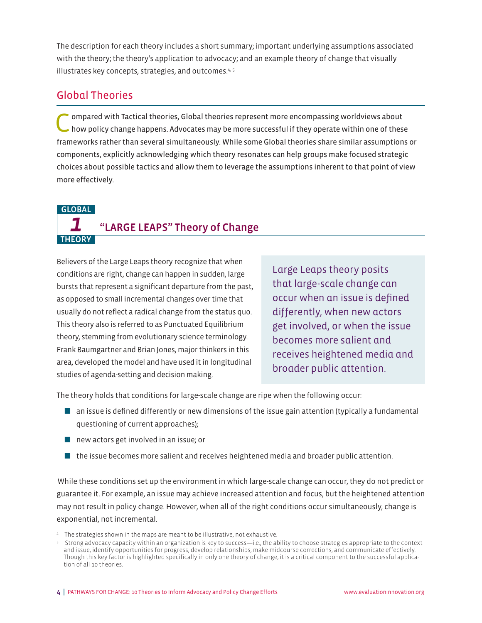The description for each theory includes a short summary; important underlying assumptions associated with the theory; the theory's application to advocacy; and an example theory of change that visually illustrates key concepts, strategies, and outcomes.<sup>4, 5</sup>

# Global Theories

Compared with Tactical theories, Global theories represent more encompassing worldviews about how policy change happens. Advocates may be more successful if they operate within one of these frameworks rather than several simultaneously. While some Global theories share similar assumptions or components, explicitly acknowledging which theory resonates can help groups make focused strategic choices about possible tactics and allow them to leverage the assumptions inherent to that point of view more effectively.

### GLOBAL

**THEORY** 

# *1* "LARGE LEAPS" Theory of Change

Believers of the Large Leaps theory recognize that when conditions are right, change can happen in sudden, large bursts that represent a significant departure from the past, as opposed to small incremental changes over time that usually do not reflect a radical change from the status quo. This theory also is referred to as Punctuated Equilibrium theory, stemming from evolutionary science terminology. Frank Baumgartner and Brian Jones, major thinkers in this area, developed the model and have used it in longitudinal studies of agenda-setting and decision making.

Large Leaps theory posits that large-scale change can occur when an issue is defined differently, when new actors get involved, or when the issue becomes more salient and receives heightened media and broader public attention.

The theory holds that conditions for large-scale change are ripe when the following occur:

- $\blacksquare$  an issue is defined differently or new dimensions of the issue gain attention (typically a fundamental questioning of current approaches);
- $\blacksquare$  new actors get involved in an issue; or
- $\blacksquare$  the issue becomes more salient and receives heightened media and broader public attention.

While these conditions set up the environment in which large-scale change can occur, they do not predict or guarantee it. For example, an issue may achieve increased attention and focus, but the heightened attention may not result in policy change. However, when all of the right conditions occur simultaneously, change is exponential, not incremental.

<sup>4</sup> The strategies shown in the maps are meant to be illustrative, not exhaustive.

<sup>5</sup> Strong advocacy capacity within an organization is key to success—i.e., the ability to choose strategies appropriate to the context and issue, identify opportunities for progress, develop relationships, make midcourse corrections, and communicate effectively. Though this key factor is highlighted specifically in only one theory of change, it is a critical component to the successful application of all 10 theories.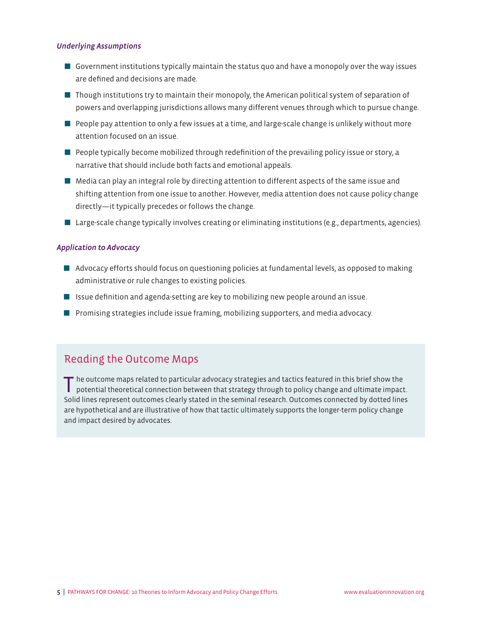#### *Underlying Assumptions*

- $\blacksquare$  Government institutions typically maintain the status quo and have a monopoly over the way issues are defined and decisions are made.
- **Though institutions try to maintain their monopoly, the American political system of separation of** powers and overlapping jurisdictions allows many different venues through which to pursue change.
- $\blacksquare$  People pay attention to only a few issues at a time, and large-scale change is unlikely without more attention focused on an issue.
- $\blacksquare$  People typically become mobilized through redefinition of the prevailing policy issue or story, a narrative that should include both facts and emotional appeals.
- $\blacksquare$  Media can play an integral role by directing attention to different aspects of the same issue and shifting attention from one issue to another. However, media attention does not cause policy change directly—it typically precedes or follows the change.
- $\blacksquare$  Large-scale change typically involves creating or eliminating institutions (e.g., departments, agencies).

#### *Application to Advocacy*

- **A** Advocacy efforts should focus on questioning policies at fundamental levels, as opposed to making administrative or rule changes to existing policies.
- $\blacksquare$  Issue definition and agenda-setting are key to mobilizing new people around an issue.
- $\blacksquare$  Promising strategies include issue framing, mobilizing supporters, and media advocacy.

# Reading the Outcome Maps

The outcome maps related to particular advocacy strategies and tactics featured in this brief show the potential theoretical connection between that strategy through to policy change and ultimate impact. Solid lines represent outcomes clearly stated in the seminal research. Outcomes connected by dotted lines are hypothetical and are illustrative of how that tactic ultimately supports the longer-term policy change and impact desired by advocates.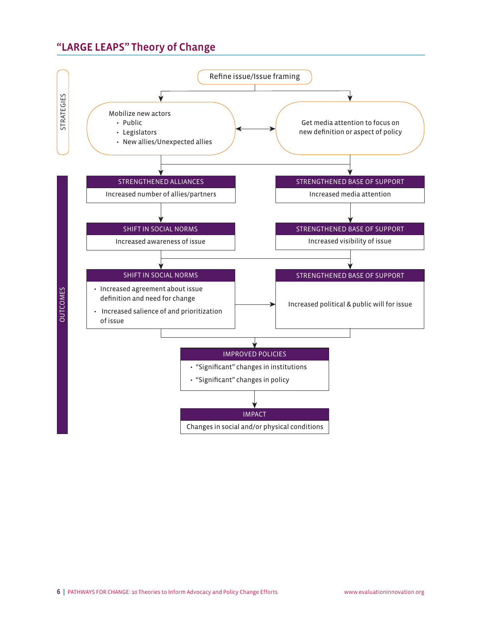# "LARGE LEAPS" Theory of Change

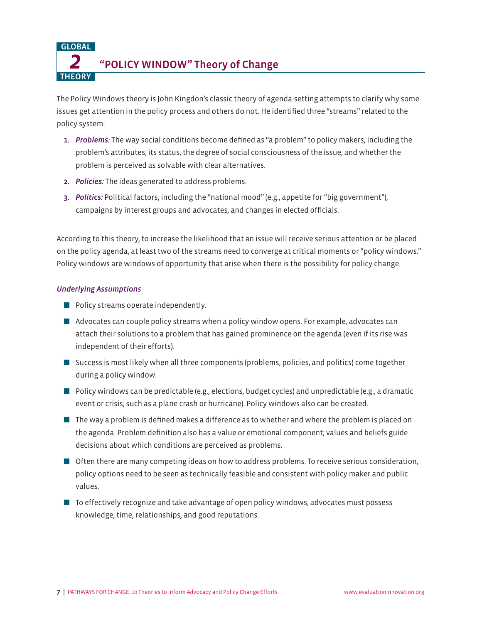*2* "POLICY WINDOW" Theory of Change

The Policy Windows theory is John Kingdon's classic theory of agenda-setting attempts to clarify why some issues get attention in the policy process and others do not. He identified three "streams" related to the policy system:

- 1. *Problems:* The way social conditions become defined as "a problem" to policy makers, including the problem's attributes, its status, the degree of social consciousness of the issue, and whether the problem is perceived as solvable with clear alternatives.
- 2. *Policies:* The ideas generated to address problems.
- 3. *Politics:* Political factors, including the "national mood" (e.g., appetite for "big government"), campaigns by interest groups and advocates, and changes in elected officials.

According to this theory, to increase the likelihood that an issue will receive serious attention or be placed on the policy agenda, at least two of the streams need to converge at critical moments or "policy windows." Policy windows are windows of opportunity that arise when there is the possibility for policy change.

#### *Underlying Assumptions*

GLOBAL

**THEORY** 

- $\blacksquare$  Policy streams operate independently.
- $\blacksquare$  Advocates can couple policy streams when a policy window opens. For example, advocates can attach their solutions to a problem that has gained prominence on the agenda (even if its rise was independent of their efforts).
- **Q Success is most likely when all three components (problems, policies, and politics) come together** during a policy window.
- Policy windows can be predictable (e.g., elections, budget cycles) and unpredictable (e.g., a dramatic event or crisis, such as a plane crash or hurricane). Policy windows also can be created.
- $\blacksquare$  The way a problem is defined makes a difference as to whether and where the problem is placed on the agenda. Problem definition also has a value or emotional component; values and beliefs guide decisions about which conditions are perceived as problems.
- **Often there are many competing ideas on how to address problems. To receive serious consideration,** policy options need to be seen as technically feasible and consistent with policy maker and public values.
- $\blacksquare$  To effectively recognize and take advantage of open policy windows, advocates must possess knowledge, time, relationships, and good reputations.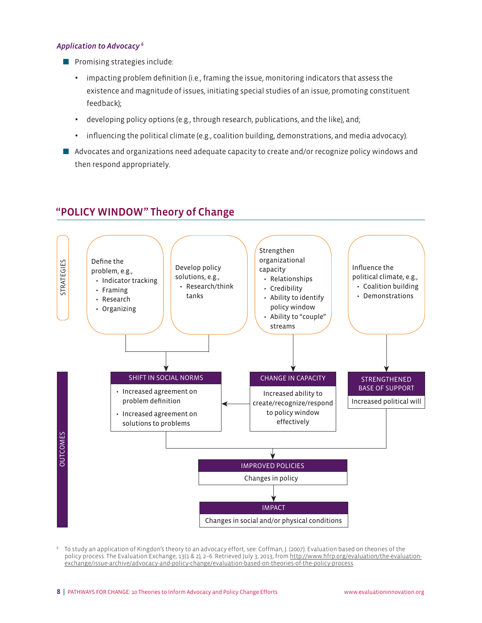#### *Application to Advocacy 6*

- $\blacksquare$  Promising strategies include:
	- impacting problem definition (i.e., framing the issue, monitoring indicators that assess the existence and magnitude of issues, initiating special studies of an issue, promoting constituent feedback);
	- developing policy options (e.g., through research, publications, and the like), and;
	- influencing the political climate (e.g., coalition building, demonstrations, and media advocacy).
- Advocates and organizations need adequate capacity to create and/or recognize policy windows and then respond appropriately.

# "POLICY WINDOW" Theory of Change



<sup>6</sup> To study an application of Kingdon's theory to an advocacy effort, see: Coffman, J. (2007). Evaluation based on theories of the policy process. The Evaluation Exchange, 13(1 & 2), 2–6. Retrieved July 3, 2013, from [http://www.hfrp.org/evaluation/the-evaluation](http://www.hfrp.org/evaluation/the-evaluation-exchange/issue-archive/advocacy-and-policy-change/evaluation-based-on-theories-of-the-policy-process)[exchange/issue-archive/advocacy-and-policy-change/evaluation-based-on-theories-of-the-policy-process.](http://www.hfrp.org/evaluation/the-evaluation-exchange/issue-archive/advocacy-and-policy-change/evaluation-based-on-theories-of-the-policy-process)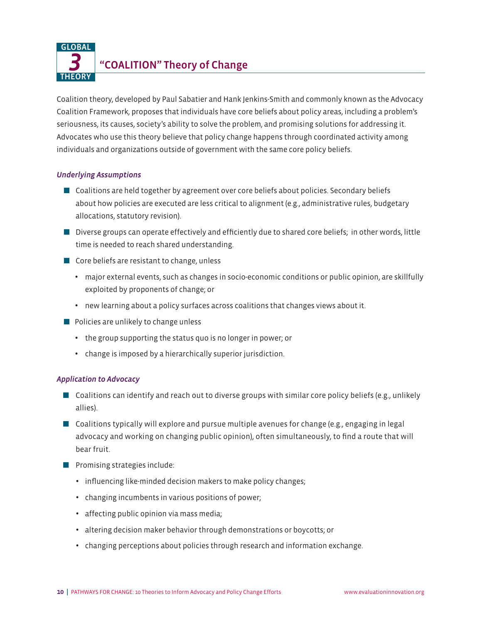*3* "COALITION" Theory of Change GLOBAL **THEORY** 

Coalition theory, developed by Paul Sabatier and Hank Jenkins-Smith and commonly known as the Advocacy Coalition Framework, proposes that individuals have core beliefs about policy areas, including a problem's seriousness, its causes, society's ability to solve the problem, and promising solutions for addressing it. Advocates who use this theory believe that policy change happens through coordinated activity among individuals and organizations outside of government with the same core policy beliefs.

#### *Underlying Assumptions*

- $\Box$  Coalitions are held together by agreement over core beliefs about policies. Secondary beliefs about how policies are executed are less critical to alignment (e.g., administrative rules, budgetary allocations, statutory revision).
- Diverse groups can operate effectively and efficiently due to shared core beliefs; in other words, little time is needed to reach shared understanding.
- $\blacksquare$  Core beliefs are resistant to change, unless
	- major external events, such as changes in socio-economic conditions or public opinion, are skillfully exploited by proponents of change; or
	- new learning about a policy surfaces across coalitions that changes views about it.
- $\blacksquare$  Policies are unlikely to change unless
	- the group supporting the status quo is no longer in power; or
	- change is imposed by a hierarchically superior jurisdiction.

- $\blacksquare$  Coalitions can identify and reach out to diverse groups with similar core policy beliefs (e.g., unlikely allies).
- $\Box$  Coalitions typically will explore and pursue multiple avenues for change (e.g., engaging in legal advocacy and working on changing public opinion), often simultaneously, to find a route that will bear fruit.
- $\blacksquare$  Promising strategies include:
	- influencing like-minded decision makers to make policy changes;
	- changing incumbents in various positions of power;
	- affecting public opinion via mass media;
	- altering decision maker behavior through demonstrations or boycotts; or
	- changing perceptions about policies through research and information exchange.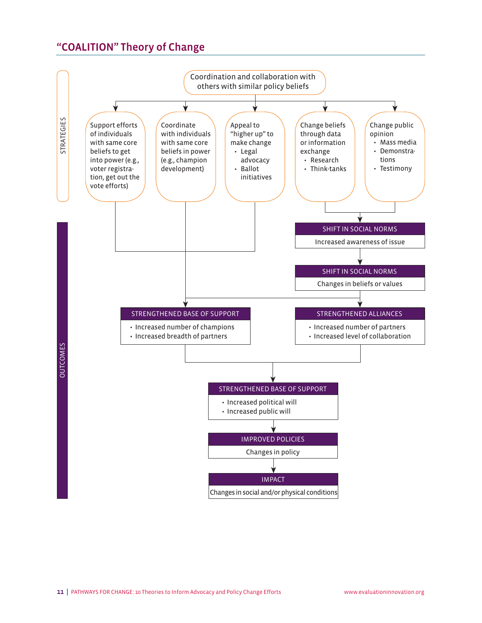# "COALITION" Theory of Change

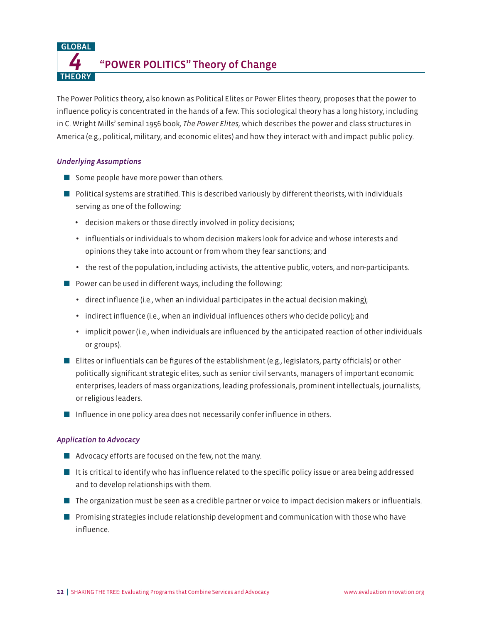*4* "POWER POLITICS" Theory of Change

The Power Politics theory, also known as Political Elites or Power Elites theory, proposes that the power to influence policy is concentrated in the hands of a few. This sociological theory has a long history, including in C. Wright Mills' seminal 1956 book*, The Power Elites,* which describes the power and class structures in America (e.g., political, military, and economic elites) and how they interact with and impact public policy.

#### *Underlying Assumptions*

GLOBAL

**THEORY** 

- $\blacksquare$  Some people have more power than others.
- $\blacksquare$  Political systems are stratified. This is described variously by different theorists, with individuals serving as one of the following:
	- decision makers or those directly involved in policy decisions;
	- influentials or individuals to whom decision makers look for advice and whose interests and opinions they take into account or from whom they fear sanctions; and
	- the rest of the population, including activists, the attentive public, voters, and non-participants.
- $\blacksquare$  Power can be used in different ways, including the following:
	- direct influence (i.e., when an individual participates in the actual decision making);
	- indirect influence (i.e., when an individual influences others who decide policy); and
	- implicit power (i.e., when individuals are influenced by the anticipated reaction of other individuals or groups).
- Elites or influentials can be figures of the establishment (e.g., legislators, party officials) or other politically significant strategic elites, such as senior civil servants, managers of important economic enterprises, leaders of mass organizations, leading professionals, prominent intellectuals, journalists, or religious leaders.
- $\blacksquare$  Influence in one policy area does not necessarily confer influence in others.

- $\blacksquare$  Advocacy efforts are focused on the few, not the many.
- $\blacksquare$  It is critical to identify who has influence related to the specific policy issue or area being addressed and to develop relationships with them.
- **The organization must be seen as a credible partner or voice to impact decision makers or influentials.**
- $\blacksquare$  Promising strategies include relationship development and communication with those who have influence.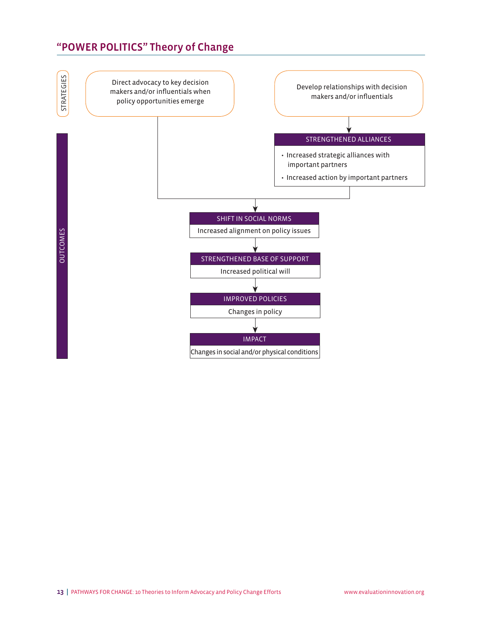# "POWER POLITICS" Theory of Change

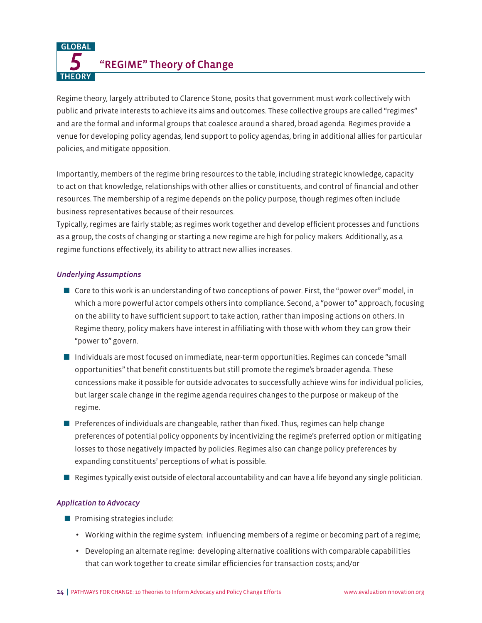*5* "REGIME" Theory of Change **GLOBAL THEORY** 

Regime theory, largely attributed to Clarence Stone, posits that government must work collectively with public and private interests to achieve its aims and outcomes. These collective groups are called "regimes" and are the formal and informal groups that coalesce around a shared, broad agenda. Regimes provide a venue for developing policy agendas, lend support to policy agendas, bring in additional allies for particular policies, and mitigate opposition.

Importantly, members of the regime bring resources to the table, including strategic knowledge, capacity to act on that knowledge, relationships with other allies or constituents, and control of financial and other resources. The membership of a regime depends on the policy purpose, though regimes often include business representatives because of their resources.

Typically, regimes are fairly stable; as regimes work together and develop efficient processes and functions as a group, the costs of changing or starting a new regime are high for policy makers. Additionally, as a regime functions effectively, its ability to attract new allies increases.

#### *Underlying Assumptions*

- $\Box$  Core to this work is an understanding of two conceptions of power. First, the "power over" model, in which a more powerful actor compels others into compliance. Second, a "power to" approach, focusing on the ability to have sufficient support to take action, rather than imposing actions on others. In Regime theory, policy makers have interest in affiliating with those with whom they can grow their "power to" govern.
- Individuals are most focused on immediate, near-term opportunities. Regimes can concede "small opportunities" that benefit constituents but still promote the regime's broader agenda. These concessions make it possible for outside advocates to successfully achieve wins for individual policies, but larger scale change in the regime agenda requires changes to the purpose or makeup of the regime.
- **P** Preferences of individuals are changeable, rather than fixed. Thus, regimes can help change preferences of potential policy opponents by incentivizing the regime's preferred option or mitigating losses to those negatively impacted by policies. Regimes also can change policy preferences by expanding constituents' perceptions of what is possible.
- $\blacksquare$  Regimes typically exist outside of electoral accountability and can have a life beyond any single politician.

- Promising strategies include:
	- Working within the regime system: influencing members of a regime or becoming part of a regime;
	- Developing an alternate regime: developing alternative coalitions with comparable capabilities that can work together to create similar efficiencies for transaction costs; and/or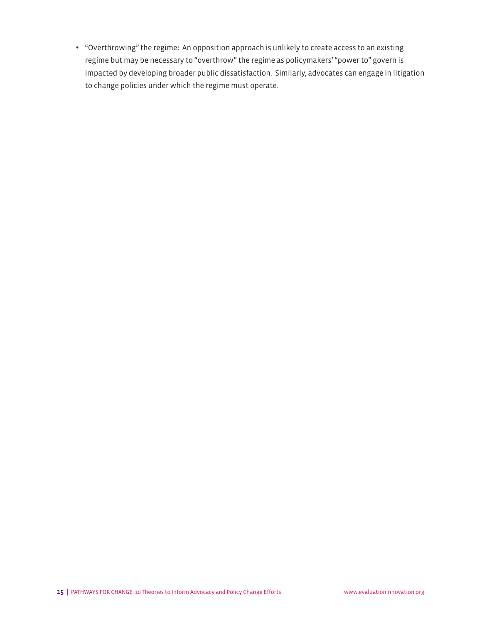• "Overthrowing" the regime**:** An opposition approach is unlikely to create access to an existing regime but may be necessary to "overthrow" the regime as policymakers' "power to" govern is impacted by developing broader public dissatisfaction. Similarly, advocates can engage in litigation to change policies under which the regime must operate.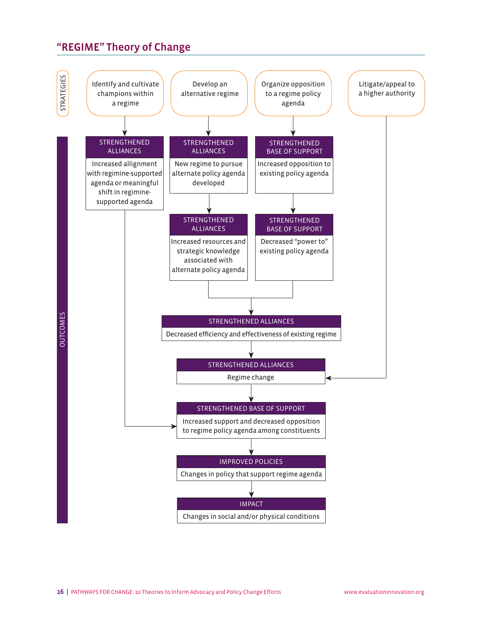# "REGIME" Theory of Change

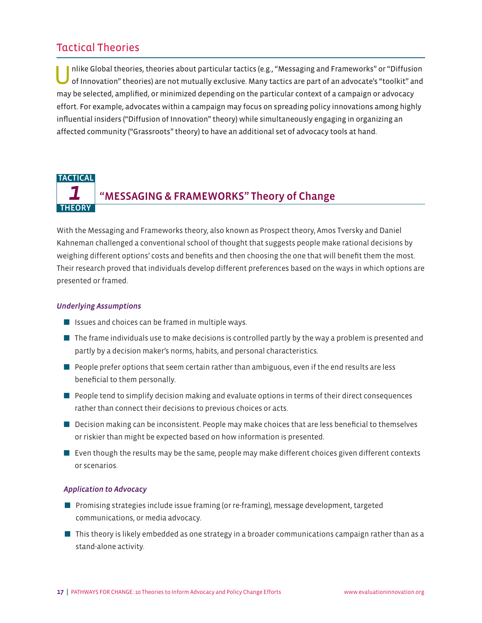# Tactical Theories

nlike Global theories, theories about particular tactics (e.g., "Messaging and Frameworks" or "Diffusion of Innovation" theories) are not mutually exclusive. Many tactics are part of an advocate's "toolkit" and may be selected, amplified, or minimized depending on the particular context of a campaign or advocacy effort. For example, advocates within a campaign may focus on spreading policy innovations among highly influential insiders ("Diffusion of Innovation" theory) while simultaneously engaging in organizing an affected community ("Grassroots" theory) to have an additional set of advocacy tools at hand.

#### *1* **TACTICAL** THEORY "MESSAGING & FRAMEWORKS" Theory of Change

With the Messaging and Frameworks theory, also known as Prospect theory, Amos Tversky and Daniel Kahneman challenged a conventional school of thought that suggests people make rational decisions by weighing different options' costs and benefits and then choosing the one that will benefit them the most. Their research proved that individuals develop different preferences based on the ways in which options are presented or framed.

#### *Underlying Assumptions*

- Issues and choices can be framed in multiple ways.
- $\blacksquare$  The frame individuals use to make decisions is controlled partly by the way a problem is presented and partly by a decision maker's norms, habits, and personal characteristics.
- **People prefer options that seem certain rather than ambiguous, even if the end results are less** beneficial to them personally.
- $\blacksquare$  People tend to simplify decision making and evaluate options in terms of their direct consequences rather than connect their decisions to previous choices or acts.
- Decision making can be inconsistent. People may make choices that are less beneficial to themselves or riskier than might be expected based on how information is presented.
- **E** Even though the results may be the same, people may make different choices given different contexts or scenarios.

- **Promising strategies include issue framing (or re-framing), message development, targeted** communications, or media advocacy.
- $\blacksquare$  This theory is likely embedded as one strategy in a broader communications campaign rather than as a stand-alone activity.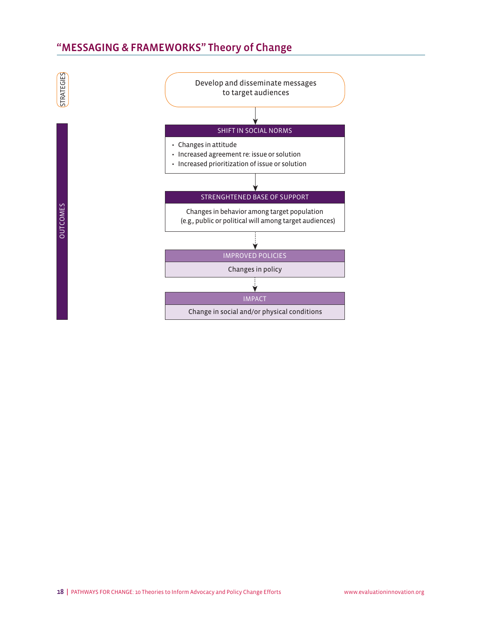# "MESSAGING & FRAMEWORKS" Theory of Change

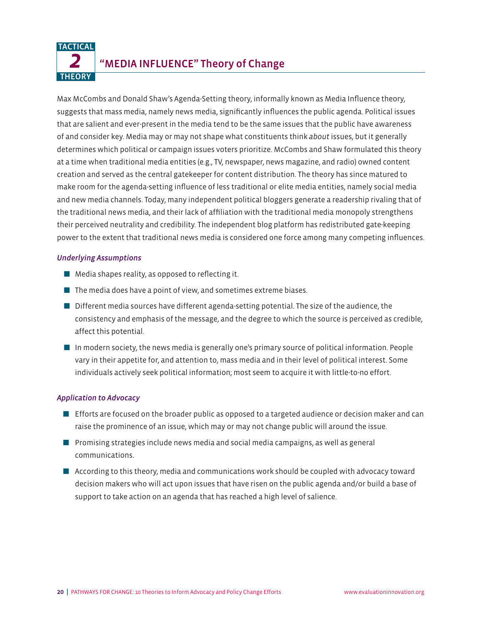#### *2* **TACTICAL THEORY** "MEDIA INFLUENCE" Theory of Change

Max McCombs and Donald Shaw's Agenda-Setting theory, informally known as Media Influence theory, suggests that mass media, namely news media, significantly influences the public agenda. Political issues that are salient and ever-present in the media tend to be the same issues that the public have awareness of and consider key. Media may or may not shape what constituents think *about* issues, but it generally determines which political or campaign issues voters prioritize. McCombs and Shaw formulated this theory at a time when traditional media entities (e.g., TV, newspaper, news magazine, and radio) owned content creation and served as the central gatekeeper for content distribution. The theory has since matured to make room for the agenda-setting influence of less traditional or elite media entities, namely social media and new media channels. Today, many independent political bloggers generate a readership rivaling that of the traditional news media, and their lack of affiliation with the traditional media monopoly strengthens their perceived neutrality and credibility. The independent blog platform has redistributed gate-keeping power to the extent that traditional news media is considered one force among many competing influences.

#### *Underlying Assumptions*

- $\blacksquare$  Media shapes reality, as opposed to reflecting it.
- $\blacksquare$  The media does have a point of view, and sometimes extreme biases.
- **D** Different media sources have different agenda-setting potential. The size of the audience, the consistency and emphasis of the message, and the degree to which the source is perceived as credible, affect this potential.
- $\blacksquare$  In modern society, the news media is generally one's primary source of political information. People vary in their appetite for, and attention to, mass media and in their level of political interest. Some individuals actively seek political information; most seem to acquire it with little-to-no effort.

- **E** Efforts are focused on the broader public as opposed to a targeted audience or decision maker and can raise the prominence of an issue, which may or may not change public will around the issue.
- $\blacksquare$  Promising strategies include news media and social media campaigns, as well as general communications.
- **According to this theory, media and communications work should be coupled with advocacy toward** decision makers who will act upon issues that have risen on the public agenda and/or build a base of support to take action on an agenda that has reached a high level of salience.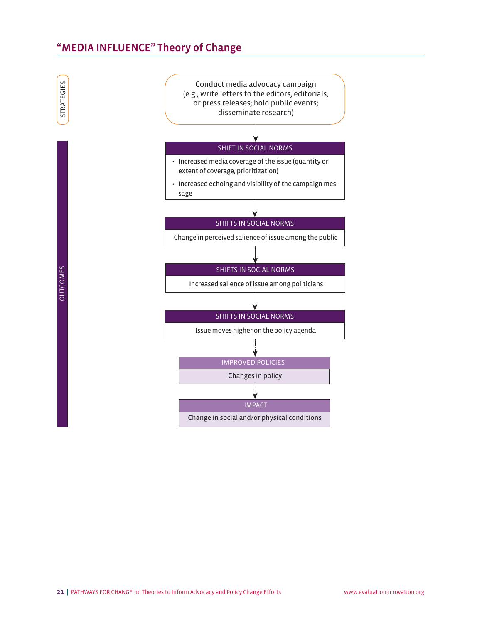# "MEDIA INFLUENCE" Theory of Change

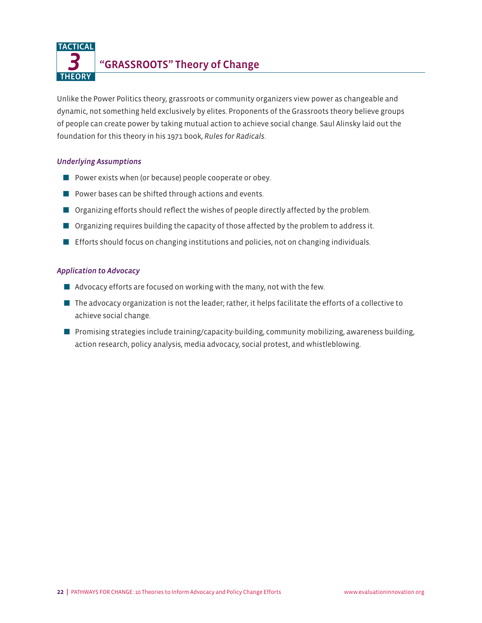"GRASSROOTS" Theory of Change

Unlike the Power Politics theory, grassroots or community organizers view power as changeable and dynamic, not something held exclusively by elites. Proponents of the Grassroots theory believe groups of people can create power by taking mutual action to achieve social change. Saul Alinsky laid out the foundation for this theory in his 1971 book, *Rules for Radicals*.

#### *Underlying Assumptions*

*3* TACTICAL

**THEORY** 

- **D** Power exists when (or because) people cooperate or obey.
- $\blacksquare$  Power bases can be shifted through actions and events.
- **Organizing efforts should reflect the wishes of people directly affected by the problem.**
- **O** Organizing requires building the capacity of those affected by the problem to address it.
- **E** Efforts should focus on changing institutions and policies, not on changing individuals.

- $\blacksquare$  Advocacy efforts are focused on working with the many, not with the few.
- $\blacksquare$  The advocacy organization is not the leader; rather, it helps facilitate the efforts of a collective to achieve social change.
- $\blacksquare$  Promising strategies include training/capacity-building, community mobilizing, awareness building, action research, policy analysis, media advocacy, social protest, and whistleblowing.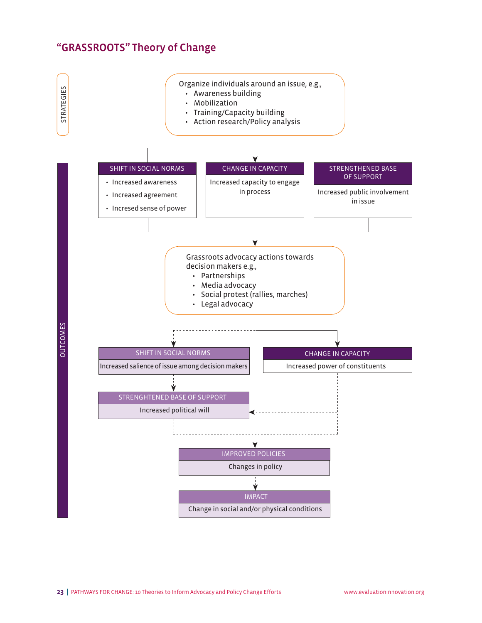# "GRASSROOTS" Theory of Change

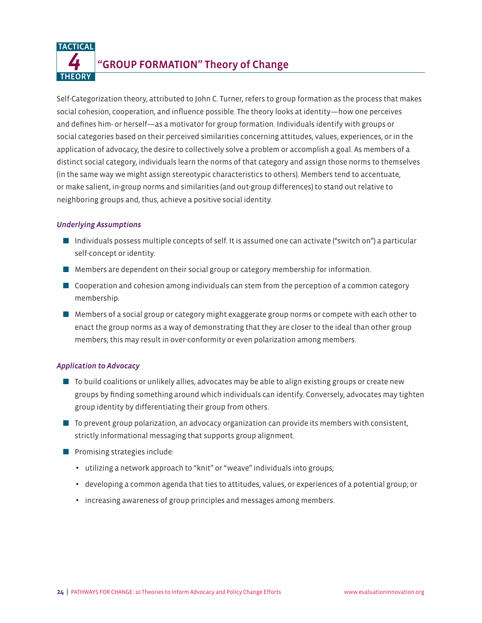"GROUP FORMATION" Theory of Change

Self-Categorization theory, attributed to John C. Turner, refers to group formation as the process that makes social cohesion, cooperation, and influence possible. The theory looks at identity—how one perceives and defines him- or herself—as a motivator for group formation. Individuals identify with groups or social categories based on their perceived similarities concerning attitudes, values, experiences, or in the application of advocacy, the desire to collectively solve a problem or accomplish a goal. As members of a distinct social category, individuals learn the norms of that category and assign those norms to themselves (in the same way we might assign stereotypic characteristics to others). Members tend to accentuate, or make salient, in-group norms and similarities (and out-group differences) to stand out relative to neighboring groups and, thus, achieve a positive social identity.

#### *Underlying Assumptions*

*4* **TACTICAL** 

**THEORY** 

- $\blacksquare$  Individuals possess multiple concepts of self. It is assumed one can activate ("switch on") a particular self-concept or identity.
- $\blacksquare$  Members are dependent on their social group or category membership for information.
- $\blacksquare$  Cooperation and cohesion among individuals can stem from the perception of a common category membership.
- **M** Members of a social group or category might exaggerate group norms or compete with each other to enact the group norms as a way of demonstrating that they are closer to the ideal than other group members; this may result in over-conformity or even polarization among members.

- $\blacksquare$  To build coalitions or unlikely allies, advocates may be able to align existing groups or create new groups by finding something around which individuals can identify. Conversely, advocates may tighten group identity by differentiating their group from others.
- **T** To prevent group polarization, an advocacy organization can provide its members with consistent, strictly informational messaging that supports group alignment.
- **Promising strategies include:** 
	- utilizing a network approach to "knit" or "weave" individuals into groups;
	- developing a common agenda that ties to attitudes, values, or experiences of a potential group; or
	- increasing awareness of group principles and messages among members.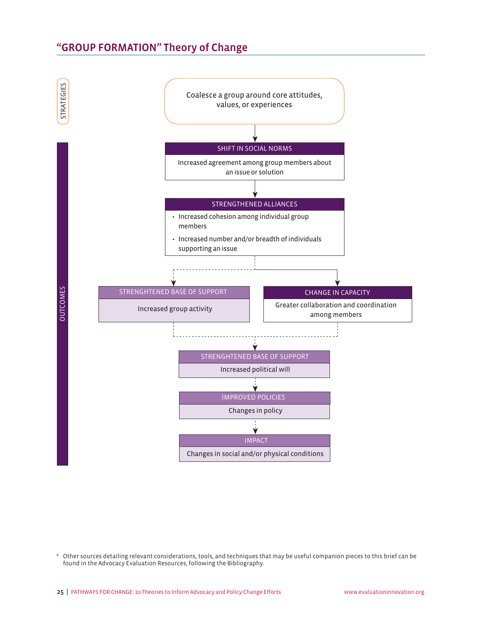# "GROUP FORMATION" Theory of Change



<sup>8</sup> Other sources detailing relevant considerations, tools, and techniques that may be useful companion pieces to this brief can be found in the Advocacy Evaluation Resources, following the Bibliography.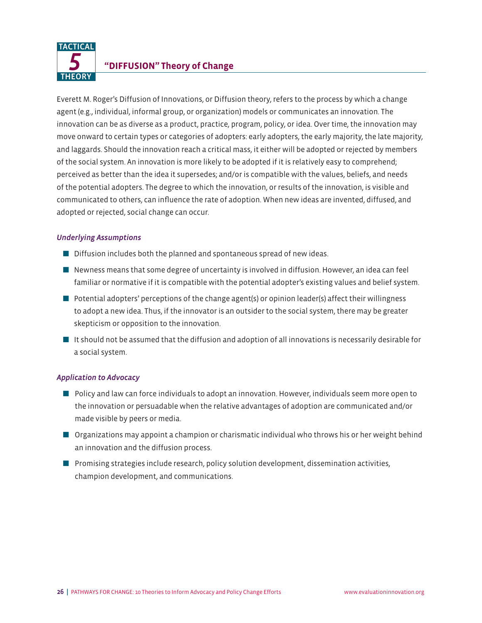

# *5* **"DIFFUSION" Theory of Change**

Everett M. Roger's Diffusion of Innovations, or Diffusion theory, refers to the process by which a change agent (e.g., individual, informal group, or organization) models or communicates an innovation. The innovation can be as diverse as a product, practice, program, policy, or idea. Over time, the innovation may move onward to certain types or categories of adopters: early adopters, the early majority, the late majority, and laggards. Should the innovation reach a critical mass, it either will be adopted or rejected by members of the social system. An innovation is more likely to be adopted if it is relatively easy to comprehend; perceived as better than the idea it supersedes; and/or is compatible with the values, beliefs, and needs of the potential adopters. The degree to which the innovation, or results of the innovation, is visible and communicated to others, can influence the rate of adoption. When new ideas are invented, diffused, and adopted or rejected, social change can occur.

#### *Underlying Assumptions*

- $\blacksquare$  Diffusion includes both the planned and spontaneous spread of new ideas.
- $\blacksquare$  Newness means that some degree of uncertainty is involved in diffusion. However, an idea can feel familiar or normative if it is compatible with the potential adopter's existing values and belief system.
- $\blacksquare$  Potential adopters' perceptions of the change agent(s) or opinion leader(s) affect their willingness to adopt a new idea. Thus, if the innovator is an outsider to the social system, there may be greater skepticism or opposition to the innovation.
- It should not be assumed that the diffusion and adoption of all innovations is necessarily desirable for a social system.

- **D** Policy and law can force individuals to adopt an innovation. However, individuals seem more open to the innovation or persuadable when the relative advantages of adoption are communicated and/or made visible by peers or media.
- **Organizations may appoint a champion or charismatic individual who throws his or her weight behind** an innovation and the diffusion process.
- **D** Promising strategies include research, policy solution development, dissemination activities, champion development, and communications.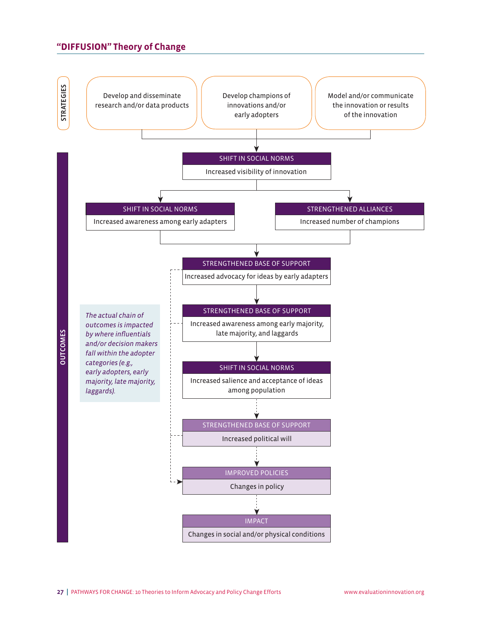#### **"DIFFUSION" Theory of Change**

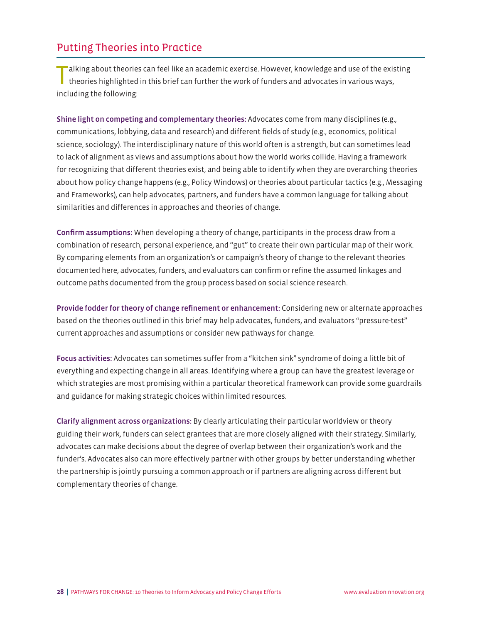# Putting Theories into Practice

Talking about theories can feel like an academic exercise. However, knowledge and use of the existing theories highlighted in this brief can further the work of funders and advocates in various ways, including the following:

Shine light on competing and complementary theories: Advocates come from many disciplines (e.g., communications, lobbying, data and research) and different fields of study (e.g., economics, political science, sociology). The interdisciplinary nature of this world often is a strength, but can sometimes lead to lack of alignment as views and assumptions about how the world works collide. Having a framework for recognizing that different theories exist, and being able to identify when they are overarching theories about how policy change happens (e.g., Policy Windows) or theories about particular tactics (e.g., Messaging and Frameworks), can help advocates, partners, and funders have a common language for talking about similarities and differences in approaches and theories of change.

Confirm assumptions: When developing a theory of change, participants in the process draw from a combination of research, personal experience, and "gut" to create their own particular map of their work. By comparing elements from an organization's or campaign's theory of change to the relevant theories documented here, advocates, funders, and evaluators can confirm or refine the assumed linkages and outcome paths documented from the group process based on social science research.

Provide fodder for theory of change refinement or enhancement: Considering new or alternate approaches based on the theories outlined in this brief may help advocates, funders, and evaluators "pressure-test" current approaches and assumptions or consider new pathways for change.

Focus activities: Advocates can sometimes suffer from a "kitchen sink" syndrome of doing a little bit of everything and expecting change in all areas. Identifying where a group can have the greatest leverage or which strategies are most promising within a particular theoretical framework can provide some guardrails and guidance for making strategic choices within limited resources.

Clarify alignment across organizations: By clearly articulating their particular worldview or theory guiding their work, funders can select grantees that are more closely aligned with their strategy. Similarly, advocates can make decisions about the degree of overlap between their organization's work and the funder's. Advocates also can more effectively partner with other groups by better understanding whether the partnership is jointly pursuing a common approach or if partners are aligning across different but complementary theories of change.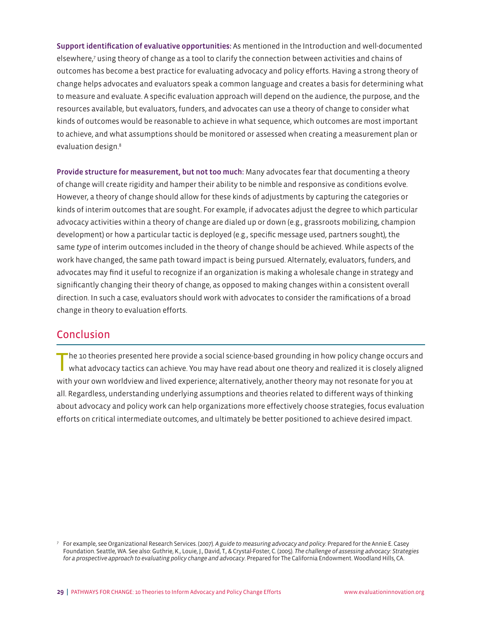Support identification of evaluative opportunities: As mentioned in the Introduction and well-documented elsewhere,7 using theory of change as a tool to clarify the connection between activities and chains of outcomes has become a best practice for evaluating advocacy and policy efforts. Having a strong theory of change helps advocates and evaluators speak a common language and creates a basis for determining what to measure and evaluate. A specific evaluation approach will depend on the audience, the purpose, and the resources available, but evaluators, funders, and advocates can use a theory of change to consider what kinds of outcomes would be reasonable to achieve in what sequence, which outcomes are most important to achieve, and what assumptions should be monitored or assessed when creating a measurement plan or evaluation design.8

Provide structure for measurement, but not too much: Many advocates fear that documenting a theory of change will create rigidity and hamper their ability to be nimble and responsive as conditions evolve. However, a theory of change should allow for these kinds of adjustments by capturing the categories or kinds of interim outcomes that are sought. For example, if advocates adjust the degree to which particular advocacy activities within a theory of change are dialed up or down (e.g., grassroots mobilizing, champion development) or how a particular tactic is deployed (e.g., specific message used, partners sought), the same *type* of interim outcomes included in the theory of change should be achieved. While aspects of the work have changed, the same path toward impact is being pursued. Alternately, evaluators, funders, and advocates may find it useful to recognize if an organization is making a wholesale change in strategy and significantly changing their theory of change, as opposed to making changes within a consistent overall direction. In such a case, evaluators should work with advocates to consider the ramifications of a broad change in theory to evaluation efforts.

# Conclusion

The 10 theories presented here provide a social science-based grounding in how policy change occurs and what advocacy tactics can achieve. You may have read about one theory and realized it is closely aligned with your own worldview and lived experience; alternatively, another theory may not resonate for you at all. Regardless, understanding underlying assumptions and theories related to different ways of thinking about advocacy and policy work can help organizations more effectively choose strategies, focus evaluation efforts on critical intermediate outcomes, and ultimately be better positioned to achieve desired impact.

<sup>7</sup> For example, see Organizational Research Services. (2007). *A guide to measuring advocacy and policy*. Prepared for the Annie E. Casey Foundation. Seattle, WA. See also: Guthrie, K., Louie, J., David, T., & Crystal-Foster, C. (2005). *The challenge of assessing advocacy: Strategies for a prospective approach to evaluating policy change and advocacy*. Prepared for The California Endowment. Woodland Hills, CA.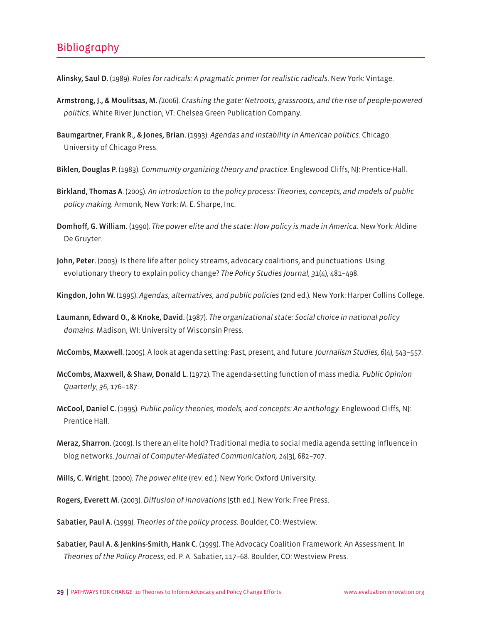# Bibliography

Alinsky, Saul D. (1989). *Rules for radicals: A pragmatic primer for realistic radicals*. New York: Vintage.

- Armstrong, J., & Moulitsas, M. *(*2006). *Crashing the gate: Netroots, grassroots, and the rise of people-powered politics.* White River Junction, VT: Chelsea Green Publication Company.
- Baumgartner, Frank R., & Jones, Brian. (1993). *Agendas and instability in American politics.* Chicago: University of Chicago Press.
- Biklen, Douglas P. (1983). *Community organizing theory and practice.* Englewood Cliffs, NJ: Prentice-Hall.
- Birkland, Thomas A. (2005). *An introduction to the policy process: Theories, concepts, and models of public policy making.* Armonk, New York: M. E. Sharpe, Inc.
- Domhoff, G. William. (1990). *The power elite and the state: How policy is made in America.* New York: Aldine De Gruyter.
- John, Peter. (2003). Is there life after policy streams, advocacy coalitions, and punctuations: Using evolutionary theory to explain policy change? *The Policy Studies Journal, 31*(4), 481–498.
- Kingdon, John W. (1995). *Agendas, alternatives, and public policies* (2nd ed.)*.* New York: Harper Collins College.
- Laumann, Edward O., & Knoke, David. (1987). *The organizational state: Social choice in national policy domains.* Madison, WI: University of Wisconsin Press.
- McCombs, Maxwell. (2005)*.* A look at agenda setting: Past, present, and future*. Journalism Studies, 6*(4), 543*–*557*.*
- McCombs, Maxwell, & Shaw, Donald L. (1972). The agenda-setting function of mass media. *Public Opinion Quarterly*, *36*, 176–187.
- McCool, Daniel C. (1995). *Public policy theories, models, and concepts: An anthology.* Englewood Cliffs, NJ: Prentice Hall.
- Meraz, Sharron. (2009). Is there an elite hold? Traditional media to social media agenda setting influence in blog networks. *Journal of Computer-Mediated Communication, 14*(3), 682–707.
- Mills, C. Wright. (2000). *The power elite* (rev. ed.)*.* New York: Oxford University.
- Rogers, Everett M. (2003). *Diffusion of innovations* (5th ed.)*.* New York: Free Press.
- Sabatier, Paul A. (1999). *Theories of the policy process.* Boulder, CO: Westview.
- Sabatier, Paul A. & Jenkins-Smith, Hank C. (1999). The Advocacy Coalition Framework: An Assessment. In *Theories of the Policy Process*, ed. P. A. Sabatier, 117–68. Boulder, CO: Westview Press.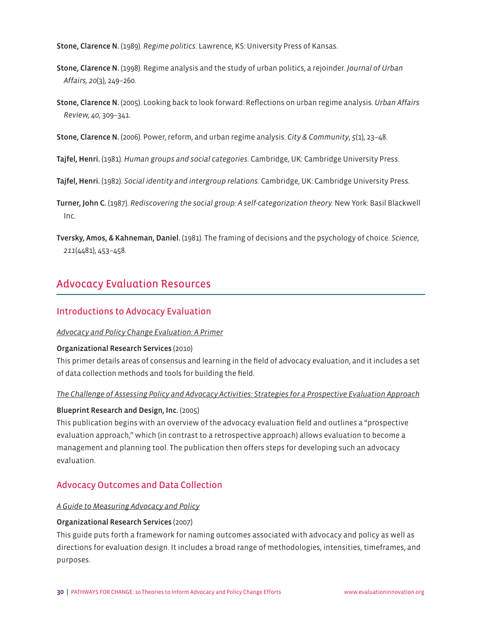Stone, Clarence N. (1989). *Regime politics.* Lawrence, KS: University Press of Kansas.

- Stone, Clarence N. (1998). Regime analysis and the study of urban politics, a rejoinder. *Journal of Urban Affairs, 20*(3), 249–260.
- Stone, Clarence N. (2005). Looking back to look forward: Reflections on urban regime analysis. *Urban Affairs Review, 40*, 309–341.
- Stone, Clarence N. (2006). Power, reform, and urban regime analysis. *City & Community*, *5*(1), 23–48.
- Tajfel, Henri. (1981). *Human groups and social categories.* Cambridge, UK: Cambridge University Press.
- Tajfel, Henri. (1982). *Social identity and intergroup relations.* Cambridge, UK: Cambridge University Press.
- Turner, John C. (1987). *Rediscovering the social group: A self-categorization theory.* New York: Basil Blackwell Inc.
- Tversky, Amos, & Kahneman, Daniel. (1981). The framing of decisions and the psychology of choice. *Science*, *211*(4481), 453–458.

# Advocacy Evaluation Resources

#### Introductions to Advocacy Evaluation

#### *[Advocacy and Policy Change Evaluation: A Primer](http://www.organizationalresearch.com/publicationsandresources/advocacy_and_policy_change_evluation_a_primer.pdf)*

#### Organizational Research Services (2010)

This primer details areas of consensus and learning in the field of advocacy evaluation, and it includes a set of data collection methods and tools for building the field.

#### *[The Challenge of Assessing Policy and Advocacy Activities: Strategies for a Prospective Evaluation Approach](http://www.calendow.org/uploadedFiles/Publications/Evaluation/challenge_assessing_policy_advocacy.pdf)*

#### Blueprint Research and Design, Inc. (2005)

This publication begins with an overview of the advocacy evaluation field and outlines a "prospective evaluation approach," which (in contrast to a retrospective approach) allows evaluation to become a management and planning tool. The publication then offers steps for developing such an advocacy evaluation.

#### Advocacy Outcomes and Data Collection

#### *[A Guide to Measuring Advocacy and Policy](http://www.organizationalresearch.com/publicationsandresources/a_guide_to_measuring_advocacy_and_policy.pdf)*

#### Organizational Research Services (2007)

This guide puts forth a framework for naming outcomes associated with advocacy and policy as well as directions for evaluation design. It includes a broad range of methodologies, intensities, timeframes, and purposes.